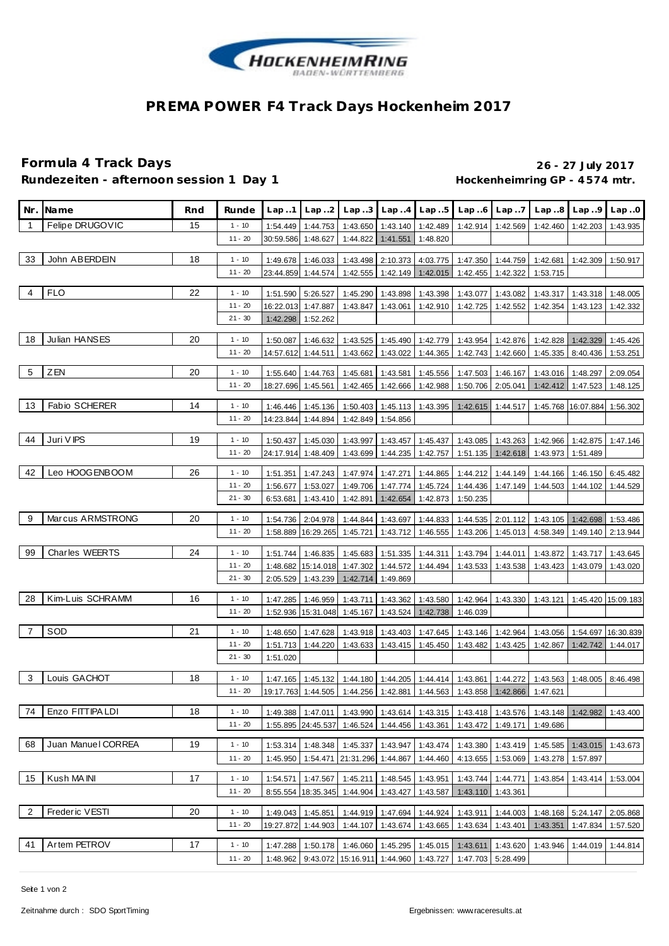

# **PREMA POWER F4 Track Days Hockenheim 2017**

### **Formula 4 Track Days 26 - 27 July 2017** Rundezeiten - afternoon session 1 Day 1 **Bundezeiten - 4574 mtr.**

| Nr.            | Name                 | Rnd | Runde     | Lap.1                | Lap.2                | Lap.3                | Lap.4                         | Lap.5                | Lap.6                | Lap.7                | Lap.8                | Lap.9                          | Lap.0    |
|----------------|----------------------|-----|-----------|----------------------|----------------------|----------------------|-------------------------------|----------------------|----------------------|----------------------|----------------------|--------------------------------|----------|
| $\overline{1}$ | Felipe DRUGOVIC      | 15  | $1 - 10$  | 1:54.449             | 1:44.753             | 1:43.650             | 1:43.140                      | 1:42.489             | 1:42.914             | 1:42.569             | 1:42.460             | 1:42.203                       | 1:43.935 |
|                |                      |     | $11 - 20$ | 30:59.586            | 1:48.627             | 1:44.822             | 1:41.551                      | 1:48.820             |                      |                      |                      |                                |          |
|                |                      |     |           |                      |                      |                      |                               |                      |                      |                      |                      |                                |          |
| 33             | John ABERDEIN        | 18  | $1 - 10$  | 1:49.678             | 1:46.033             | 1:43.498             | 2:10.373                      | 4:03.775             | 1:47.350             | 1:44.759             | 1:42.681             | 1:42.309                       | 1:50.917 |
|                |                      |     | $11 - 20$ | 23:44.859            | 1:44.574             | 1:42.555             | 1:42.149                      | 1:42.015             | 1:42.455             | 1:42.322             | 1:53.715             |                                |          |
| 4              | <b>FLO</b>           | 22  | $1 - 10$  | 1:51.590             | 5:26.527             | 1:45.290             | 1:43.898                      | 1:43.398             | 1:43.077             | 1:43.082             | 1:43.317             | 1:43.318                       | 1:48.005 |
|                |                      |     | $11 - 20$ | 16:22.013            | 1:47.887             | 1:43.847             | 1:43.061                      | 1:42.910             | 1:42.725             | 1:42.552             | 1:42.354             | 1:43.123                       | 1:42.332 |
|                |                      |     | $21 - 30$ | 1:42.298             | 1:52.262             |                      |                               |                      |                      |                      |                      |                                |          |
| 18             | Julian HANSES        | 20  | $1 - 10$  | 1:50.087             | 1:46.632             | 1:43.525             | 1:45.490                      | 1:42.779             | 1:43.954             | 1:42.876             | 1:42.828             | 1:42.329                       | 1:45.426 |
|                |                      |     | $11 - 20$ | 14:57.612            | 1:44.511             | 1:43.662             | 1:43.022                      | 1:44.365             | 1:42.743             | 1:42.660             | 1:45.335             | 8:40.436                       | 1:53.251 |
| 5              | ZEN                  | 20  | $1 - 10$  | 1:55.640             | 1:44.763             | 1:45.681             | 1:43.581                      | 1:45.556             | 1:47.503             | 1:46.167             | 1:43.016 1:48.297    |                                | 2:09.054 |
|                |                      |     | $11 - 20$ | 18:27.696            | 1:45.561             | 1:42.465             | 1:42.666                      | 1:42.988             | 1:50.706             | 2:05.041             | 1:42.412             | 1:47.523                       | 1:48.125 |
|                |                      |     |           |                      |                      |                      |                               |                      |                      |                      |                      |                                |          |
| 13             | <b>Fabio SCHERER</b> | 14  | $1 - 10$  | 1:46.446             | 1:45.136             | 1:50.403             | 1:45.113                      | 1:43.395             | 1:42.615             | 1:44.517             | 1:45.768             | 16:07.884                      | 1:56.302 |
|                |                      |     | $11 - 20$ | 14:23.844            | 1:44.894             | 1:42.849             | 1:54.856                      |                      |                      |                      |                      |                                |          |
| 44             | Juri V IPS           | 19  | $1 - 10$  | 1:50.437             | 1:45.030             | 1:43.997             | 1:43.457                      | 1:45.437             | 1:43.085             | 1:43.263             | 1:42.966             | 1:42.875                       | 1:47.146 |
|                |                      |     | $11 - 20$ | 24:17.914            | 1:48.409             | 1:43.699             | 1:44.235                      | 1:42.757             | 1:51.135             | 1:42.618             | 1:43.973             | 1:51.489                       |          |
| 42             | Leo HOOGENBOOM       | 26  | $1 - 10$  | 1:51.351             | 1:47.243             | 1:47.974             | 1:47.271                      | 1:44.865             | 1:44.212             | 1:44.149             | 1:44.166             | 1:46.150                       | 6:45.482 |
|                |                      |     | $11 - 20$ | 1:56.677             | 1:53.027             | 1:49.706             | 1:47.774                      | 1:45.724             | 1:44.436             | 1:47.149             | 1:44.503             | 1:44.102                       | 1:44.529 |
|                |                      |     | $21 - 30$ | 6:53.681             | 1:43.410             | 1:42.891             | 1:42.654                      | 1:42.873             | 1:50.235             |                      |                      |                                |          |
|                |                      |     |           |                      |                      |                      |                               |                      |                      |                      |                      |                                |          |
| 9              | Marcus ARMSTRONG     | 20  | $1 - 10$  | 1:54.736             | 2:04.978             | 1:44.844             | 1:43.697                      | 1:44.833             | 1:44.535             | 2:01.112             | 1:43.105             | 1:42.698                       | 1:53.486 |
|                |                      |     | $11 - 20$ | 1:58.889             | 16:29.265            | 1:45.721             | 1:43.712                      | 1:46.555             | 1:43.206             | 1:45.013             | 4:58.349             | 1:49.140                       | 2:13.944 |
| 99             | Charles WEERTS       | 24  | $1 - 10$  | 1:51.744             | 1:46.835             | 1:45.683             | 1:51.335                      | 1:44.311             | 1:43.794             | 1:44.011             | 1:43.872             | 1:43.717                       | 1:43.645 |
|                |                      |     | $11 - 20$ |                      | 1:48.682 15:14.018   | 1:47.302             | 1:44.572                      | 1:44.494             | 1:43.533             | 1:43.538             | 1:43.423             | 1:43.079                       | 1:43.020 |
|                |                      |     | $21 - 30$ | 2:05.529             | 1:43.239             | 1:42.714             | 1:49.869                      |                      |                      |                      |                      |                                |          |
| 28             | Kim-Luis SCHRAMM     | 16  | $1 - 10$  | 1:47.285             | 1:46.959             | 1:43.711             | 1:43.362                      | 1:43.580             | 1:42.964             | 1:43.330             |                      | 1:43.121  1:45.420  15:09.183  |          |
|                |                      |     | $11 - 20$ | 1:52.936             | 15:31.048            | 1:45.167             | 1:43.524                      | 1:42.738             | 1:46.039             |                      |                      |                                |          |
| 7              | SOD                  | 21  | $1 - 10$  |                      | 1:47.628             |                      |                               |                      |                      |                      |                      |                                |          |
|                |                      |     | $11 - 20$ | 1:48.650<br>1:51.713 | 1:44.220             | 1:43.918<br>1:43.633 | 1:43.403<br>1:43.415          | 1:47.645<br>1:45.450 | 1:43.146<br>1:43.482 | 1:42.964<br>1:43.425 | 1:43.056<br>1:42.867 | 1:54.697 16:30.839<br>1:42.742 | 1:44.017 |
|                |                      |     | $21 - 30$ | 1:51.020             |                      |                      |                               |                      |                      |                      |                      |                                |          |
|                |                      |     |           |                      |                      |                      |                               |                      |                      |                      |                      |                                |          |
| 3              | Louis GACHOT         | 18  | $1 - 10$  | 1:47.165             | 1:45.132             | 1:44.180             | 1:44.205                      | 1:44.414             | 1:43.861             | 1:44.272             | 1:43.563             | 1:48.005                       | 8:46.498 |
|                |                      |     | $11 - 20$ | 19:17.763            | 1:44.505             | 1:44.256             | 1:42.881                      | 1:44.563             | 1:43.858             | 1:42.866             | 1:47.621             |                                |          |
| 74             | Enzo FITTIPA LDI     | 18  | $1 - 10$  | 1:49.388             | 1:47.011             | 1:43.990             | 1:43.614                      | 1:43.315             |                      | 1:43.418 1:43.576    | 1:43.148 1:42.982    |                                | 1:43.400 |
|                |                      |     | $11 - 20$ | 1:55.895             | 24:45.537            | 1:46.524             | 1:44.456                      | 1:43.361             | 1:43.472             | 1:49.171             | 1:49.686             |                                |          |
| 68             | Juan Manuel CORREA   | 19  | $1 - 10$  | 1:53.314             | 1:48.348             | 1:45.337             | 1:43.947                      | 1:43.474             | 1:43.380             | 1:43.419             | 1:45.585             | 1:43.015                       | 1:43.673 |
|                |                      |     | $11 - 20$ | 1:45.950             | 1:54.471             | 21:31.296 1:44.867   |                               | 1:44.460             | 4:13.655             | 1:53.069             | 1:43.278             | 1:57.897                       |          |
|                |                      |     |           |                      |                      |                      |                               |                      |                      |                      |                      |                                |          |
| 15             | Kush MA INI          | 17  | $1 - 10$  | 1:54.571             | 1:47.567             | 1:45.211             | 1:48.545                      | 1:43.951             | 1:43.744             | 1:44.771             | 1:43.854             | 1:43.414                       | 1:53.004 |
|                |                      |     | $11 - 20$ | 8:55.554             | 18:35.345            | 1:44.904             | 1:43.427                      | 1:43.587             | 1:43.110             | 1:43.361             |                      |                                |          |
| 2              | Freder ic VESTI      | 20  | $1 - 10$  | 1:49.043             | 1:45.851             |                      | 1:44.919 1:47.694             | 1:44.924             | 1:43.911             | 1:44.003             |                      | 1:48.168 5:24.147              | 2:05.868 |
|                |                      |     | $11 - 20$ | 19:27.872            | 1:44.903             | 1:44.107             | 1:43.674                      | 1:43.665             | 1:43.634             | 1:43.401             | 1:43.351             | 1:47.834                       | 1:57.520 |
| 41             | Artem PETROV         | 17  | $1 - 10$  |                      |                      |                      |                               |                      |                      |                      |                      |                                |          |
|                |                      |     | $11 - 20$ | 1:47.288<br>1:48.962 | 1:50.178<br>9:43.072 | 15:16.911            | 1:46.060 1:45.295<br>1:44.960 | 1:45.015<br>1:43.727 | 1:43.611<br>1:47.703 | 1:43.620<br>5:28.499 | 1:43.946             | 1:44.019                       | 1:44.814 |
|                |                      |     |           |                      |                      |                      |                               |                      |                      |                      |                      |                                |          |